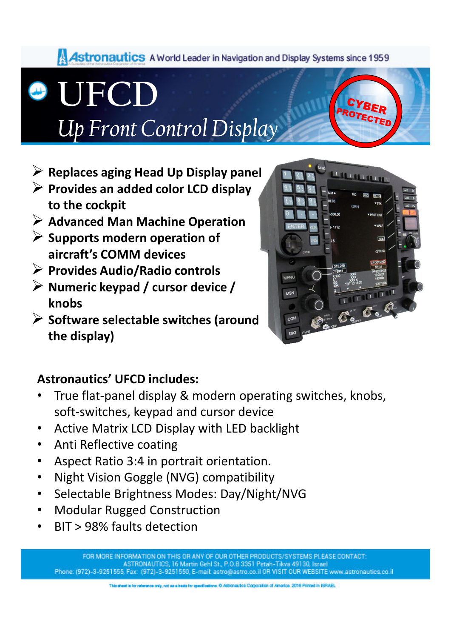#### Astronautics A World Leader in Navigation and Display Systems since 1959

**UFCD**

## *Up Front Control Display*

- **Replaces aging Head Up Display panel**
- **Provides an added color LCD display to the cockpit**
- **Advanced Man Machine Operation**
- **Supports modern operation of aircraft's COMM devices**
- **Provides Audio/Radio controls**
- **Numeric keypad / cursor device / knobs**
- **Software selectable switches (around the display)**



#### **Astronautics' UFCD includes:**

- True flat-panel display & modern operating switches, knobs, soft-switches, keypad and cursor device
- Active Matrix LCD Display with LED backlight
- Anti Reflective coating
- Aspect Ratio 3:4 in portrait orientation.
- Night Vision Goggle (NVG) compatibility
- Selectable Brightness Modes: Day/Night/NVG
- Modular Rugged Construction
- BIT > 98% faults detection